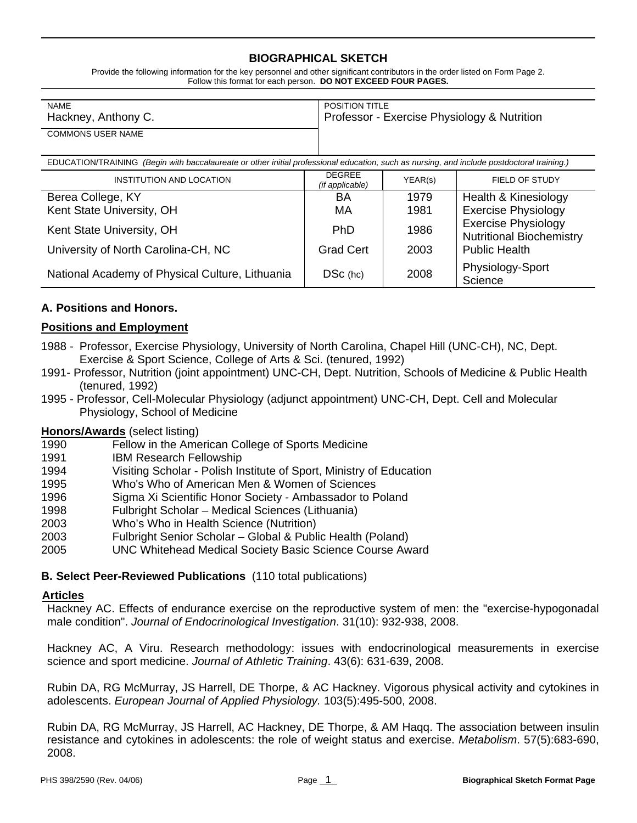## **BIOGRAPHICAL SKETCH**

Provide the following information for the key personnel and other significant contributors in the order listed on Form Page 2. Follow this format for each person. **DO NOT EXCEED FOUR PAGES.**

| <b>NAME</b>              | <b>POSITION TITLE</b>                       |
|--------------------------|---------------------------------------------|
| Hackney, Anthony C.      | Professor - Exercise Physiology & Nutrition |
| <b>COMMONS USER NAME</b> |                                             |

| EDUCATION/TRAINING (Begin with baccalaureate or other initial professional education, such as nursing, and include postdoctoral training.) |                                  |         |                                                               |  |
|--------------------------------------------------------------------------------------------------------------------------------------------|----------------------------------|---------|---------------------------------------------------------------|--|
| INSTITUTION AND LOCATION                                                                                                                   | <b>DEGREE</b><br>(if applicable) | YEAR(s) | FIELD OF STUDY                                                |  |
| Berea College, KY                                                                                                                          | BA                               | 1979    | Health & Kinesiology                                          |  |
| Kent State University, OH                                                                                                                  | МA                               | 1981    | <b>Exercise Physiology</b>                                    |  |
| Kent State University, OH                                                                                                                  | <b>PhD</b>                       | 1986    | <b>Exercise Physiology</b><br><b>Nutritional Biochemistry</b> |  |
| University of North Carolina-CH, NC                                                                                                        | <b>Grad Cert</b>                 | 2003    | <b>Public Health</b>                                          |  |
| National Academy of Physical Culture, Lithuania                                                                                            | $DSc$ (hc)                       | 2008    | Physiology-Sport<br>Science                                   |  |

## **A. Positions and Honors.**

### **Positions and Employment**

- 1988 Professor, Exercise Physiology, University of North Carolina, Chapel Hill (UNC-CH), NC, Dept. Exercise & Sport Science, College of Arts & Sci. (tenured, 1992)
- 1991- Professor, Nutrition (joint appointment) UNC-CH, Dept. Nutrition, Schools of Medicine & Public Health (tenured, 1992)
- 1995 Professor, Cell-Molecular Physiology (adjunct appointment) UNC-CH, Dept. Cell and Molecular Physiology, School of Medicine

#### **Honors/Awards** (select listing)

- 1990 Fellow in the American College of Sports Medicine
- 1991 IBM Research Fellowship
- 1994 Visiting Scholar Polish Institute of Sport, Ministry of Education
- 1995 Who's Who of American Men & Women of Sciences
- 1996 Sigma Xi Scientific Honor Society Ambassador to Poland
- 1998 Fulbright Scholar Medical Sciences (Lithuania)
- 2003 Who's Who in Health Science (Nutrition)
- 2003 Fulbright Senior Scholar Global & Public Health (Poland)
- 2005 UNC Whitehead Medical Society Basic Science Course Award

#### **B. Select Peer-Reviewed Publications** (110 total publications)

#### **Articles**

Hackney AC. Effects of endurance exercise on the reproductive system of men: the "exercise-hypogonadal male condition". *Journal of Endocrinological Investigation*. 31(10): 932-938, 2008.

Hackney AC, A Viru. Research methodology: issues with endocrinological measurements in exercise science and sport medicine. *Journal of Athletic Training*. 43(6): 631-639, 2008.

Rubin DA, RG McMurray, JS Harrell, DE Thorpe, & AC Hackney. Vigorous physical activity and cytokines in adolescents. *European Journal of Applied Physiology.* 103(5):495-500, 2008.

Rubin DA, RG McMurray, JS Harrell, AC Hackney, DE Thorpe, & AM Haqq. The association between insulin resistance and cytokines in adolescents: the role of weight status and exercise. *Metabolism*. 57(5):683-690, 2008.